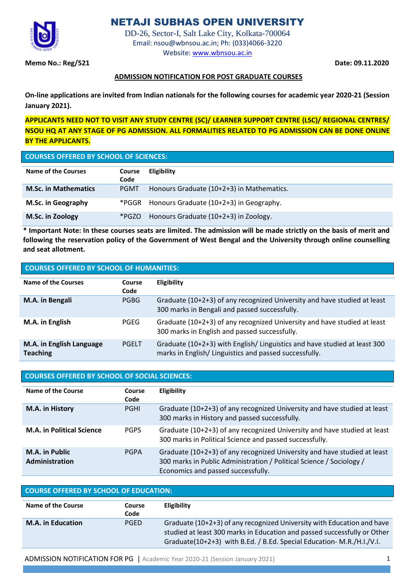

# NETAJI SUBHAS OPEN UNIVERSITY

DD-26, Sector-I, Salt Lake City, Kolkata-700064 Email[: nsou@wbnsou.ac.in;](mailto:registrar@wbnsou.ac.in) Ph: (033)4066-3220 Website: [www.wbnsou.ac.in](http://www.wbnsou.ac.in/)

**Memo No.: Reg/521 Date: 09.11.2020**

## **ADMISSION NOTIFICATION FOR POST GRADUATE COURSES**

**On-line applications are invited from Indian nationals for the following courses for academic year 2020-21 (Session January 2021).** 

**APPLICANTS NEED NOT TO VISIT ANY STUDY CENTRE (SC)/ LEARNER SUPPORT CENTRE (LSC)/ REGIONAL CENTRES/ NSOU HQ AT ANY STAGE OF PG ADMISSION. ALL FORMALITIES RELATED TO PG ADMISSION CAN BE DONE ONLINE BY THE APPLICANTS.**

# **COURSES OFFERED BY SCHOOL OF SCIENCES:**

| Name of the Courses         | Course<br>Code | <b>Eligibility</b>                        |
|-----------------------------|----------------|-------------------------------------------|
| <b>M.Sc. in Mathematics</b> | <b>PGMT</b>    | Honours Graduate (10+2+3) in Mathematics. |
| M.Sc. in Geography          | *PGGR          | Honours Graduate (10+2+3) in Geography.   |
| M.Sc. in Zoology            | *PGZO          | Honours Graduate (10+2+3) in Zoology.     |

**\* Important Note: In these courses seats are limited. The admission will be made strictly on the basis of merit and following the reservation policy of the Government of West Bengal and the University through online counselling and seat allotment.**

| <b>COURSES OFFERED BY SCHOOL OF HUMANITIES:</b> |                |                                                                                                                                    |  |
|-------------------------------------------------|----------------|------------------------------------------------------------------------------------------------------------------------------------|--|
| Name of the Courses                             | Course<br>Code | <b>Eligibility</b>                                                                                                                 |  |
| M.A. in Bengali                                 | <b>PGBG</b>    | Graduate (10+2+3) of any recognized University and have studied at least<br>300 marks in Bengali and passed successfully.          |  |
| M.A. in English                                 | PGEG           | Graduate (10+2+3) of any recognized University and have studied at least<br>300 marks in English and passed successfully.          |  |
| M.A. in English Language<br><b>Teaching</b>     | <b>PGELT</b>   | Graduate (10+2+3) with English/ Linguistics and have studied at least 300<br>marks in English/Linguistics and passed successfully. |  |

## **COURSES OFFERED BY SCHOOL OF SOCIAL SCIENCES:**

| Name of the Course                      | Course<br>Code | Eligibility                                                                                                                                                                            |
|-----------------------------------------|----------------|----------------------------------------------------------------------------------------------------------------------------------------------------------------------------------------|
| M.A. in History                         | <b>PGHI</b>    | Graduate (10+2+3) of any recognized University and have studied at least<br>300 marks in History and passed successfully.                                                              |
| <b>M.A. in Political Science</b>        | <b>PGPS</b>    | Graduate (10+2+3) of any recognized University and have studied at least<br>300 marks in Political Science and passed successfully.                                                    |
| <b>M.A.</b> in Public<br>Administration | <b>PGPA</b>    | Graduate (10+2+3) of any recognized University and have studied at least<br>300 marks in Public Administration / Political Science / Sociology /<br>Economics and passed successfully. |

| <b>COURSE OFFERED BY SCHOOL OF EDUCATION:</b> |                |                                                                                                                                                                                                                             |  |
|-----------------------------------------------|----------------|-----------------------------------------------------------------------------------------------------------------------------------------------------------------------------------------------------------------------------|--|
| Name of the Course                            | Course<br>Code | <b>Eligibility</b>                                                                                                                                                                                                          |  |
| <b>M.A. in Education</b>                      | <b>PGED</b>    | Graduate (10+2+3) of any recognized University with Education and have<br>studied at least 300 marks in Education and passed successfully or Other<br>Graduate(10+2+3) with B.Ed. / B.Ed. Special Education- M.R./H.I./V.I. |  |

ADMISSION NOTIFICATION FOR PG | Academic Year 2020-21 (Session January 2021) 1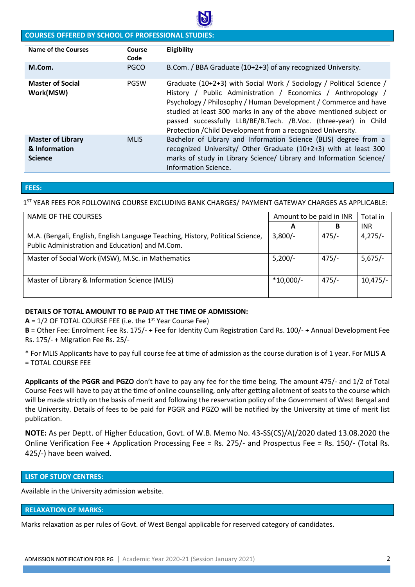

## **COURSES OFFERED BY SCHOOL OF PROFESSIONAL STUDIES:**

| <b>Name of the Courses</b>                                  | Course<br>Code | Eligibility                                                                                                                                                                                                                                                                                                                                                                                                        |
|-------------------------------------------------------------|----------------|--------------------------------------------------------------------------------------------------------------------------------------------------------------------------------------------------------------------------------------------------------------------------------------------------------------------------------------------------------------------------------------------------------------------|
| M.Com.                                                      | <b>PGCO</b>    | B.Com. / BBA Graduate (10+2+3) of any recognized University.                                                                                                                                                                                                                                                                                                                                                       |
| <b>Master of Social</b><br>Work(MSW)                        | <b>PGSW</b>    | Graduate (10+2+3) with Social Work / Sociology / Political Science /<br>History / Public Administration / Economics / Anthropology /<br>Psychology / Philosophy / Human Development / Commerce and have<br>studied at least 300 marks in any of the above mentioned subject or<br>passed successfully LLB/BE/B.Tech. /B.Voc. (three-year) in Child<br>Protection / Child Development from a recognized University. |
| <b>Master of Library</b><br>& Information<br><b>Science</b> | <b>MLIS</b>    | Bachelor of Library and Information Science (BLIS) degree from a<br>recognized University/ Other Graduate (10+2+3) with at least 300<br>marks of study in Library Science/ Library and Information Science/<br>Information Science.                                                                                                                                                                                |

#### **FEES:**

1 ST YEAR FEES FOR FOLLOWING COURSE EXCLUDING BANK CHARGES/ PAYMENT GATEWAY CHARGES AS APPLICABLE:

| NAME OF THE COURSES                                                                                                               | Amount to be paid in INR |         | Total in   |
|-----------------------------------------------------------------------------------------------------------------------------------|--------------------------|---------|------------|
|                                                                                                                                   | A                        | B       | INR.       |
| M.A. (Bengali, English, English Language Teaching, History, Political Science,<br>Public Administration and Education) and M.Com. | $3,800/-$                | $475/-$ | $4,275/-$  |
| Master of Social Work (MSW), M.Sc. in Mathematics                                                                                 | $5,200/-$                | $475/-$ | $5,675/-$  |
| Master of Library & Information Science (MLIS)                                                                                    | $*10,000/-$              | $475/-$ | $10,475/-$ |

#### **DETAILS OF TOTAL AMOUNT TO BE PAID AT THE TIME OF ADMISSION:**

**A** = 1/2 OF TOTAL COURSE FEE (i.e. the 1st Year Course Fee)

**B** = Other Fee: Enrolment Fee Rs. 175/- + Fee for Identity Cum Registration Card Rs. 100/- + Annual Development Fee Rs. 175/- + Migration Fee Rs. 25/-

\* For MLIS Applicants have to pay full course fee at time of admission as the course duration is of 1 year. For MLIS **A**  = TOTAL COURSE FEE

**Applicants of the PGGR and PGZO** don't have to pay any fee for the time being. The amount 475/- and 1/2 of Total Course Fees will have to pay at the time of online counselling, only after getting allotment of seats to the course which will be made strictly on the basis of merit and following the reservation policy of the Government of West Bengal and the University. Details of fees to be paid for PGGR and PGZO will be notified by the University at time of merit list publication.

**NOTE:** As per Deptt. of Higher Education, Govt. of W.B. Memo No. 43-SS(CS)/A)/2020 dated 13.08.2020 the Online Verification Fee + Application Processing Fee = Rs. 275/- and Prospectus Fee = Rs. 150/- (Total Rs. 425/-) have been waived.

#### **LIST OF STUDY CENTRES:**

Available in the University admission website.

#### **RELAXATION OF MARKS:**

Marks relaxation as per rules of Govt. of West Bengal applicable for reserved category of candidates.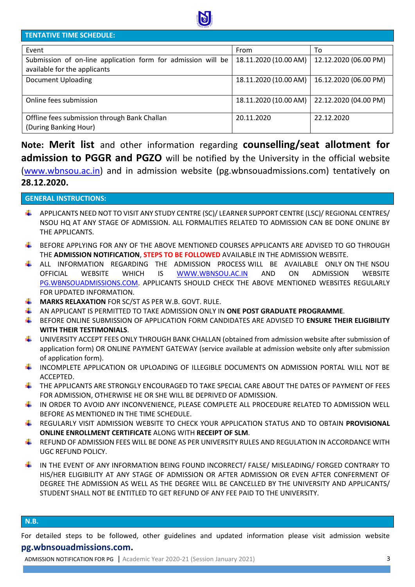

## **TENTATIVE TIME SCHEDULE:**

| Event                                                                                        | From                  | To                    |
|----------------------------------------------------------------------------------------------|-----------------------|-----------------------|
| Submission of on-line application form for admission will be<br>available for the applicants | 18.11.2020 (10.00 AM) | 12.12.2020 (06.00 PM) |
| <b>Document Uploading</b>                                                                    | 18.11.2020 (10.00 AM) | 16.12.2020 (06.00 PM) |
| Online fees submission                                                                       | 18.11.2020 (10.00 AM) | 22.12.2020 (04.00 PM) |
| Offline fees submission through Bank Challan<br>(During Banking Hour)                        | 20.11.2020            | 22.12.2020            |

**Note: Merit list** and other information regarding **counselling/seat allotment for admission to PGGR and PGZO** will be notified by the University in the official website [\(www.wbnsou.ac.in\)](http://www.wbnsou.ac.in/) and in admission website (pg.wbnsouadmissions.com) tentatively on **28.12.2020.**

#### **GENERAL INSTRUCTIONS:**

- APPLICANTS NEED NOT TO VISIT ANY STUDY CENTRE (SC)/ LEARNER SUPPORT CENTRE (LSC)/ REGIONAL CENTRES/ NSOU HQ AT ANY STAGE OF ADMISSION. ALL FORMALITIES RELATED TO ADMISSION CAN BE DONE ONLINE BY THE APPLICANTS.
- BEFORE APPLYING FOR ANY OF THE ABOVE MENTIONED COURSES APPLICANTS ARE ADVISED TO GO THROUGH THE **ADMISSION NOTIFICATION**, **STEPS TO BE FOLLOWED** AVAILABLE IN THE ADMISSION WEBSITE.
- ALL INFORMATION REGARDING THE ADMISSION PROCESS WILL BE AVAILABLE ONLY ON THE NSOU OFFICIAL WEBSITE WHICH IS [WWW.WBNSOU.AC.IN](http://www.wbnsou.ac.in/) AND ON ADMISSION WEBSITE [PG.WBNSOUADMISSIONS.COM.](http://www.bdp.wbnsouadmissions.com/) APPLICANTS SHOULD CHECK THE ABOVE MENTIONED WEBSITES REGULARLY FOR UPDATED INFORMATION.
- **MARKS RELAXATION** FOR SC/ST AS PER W.B. GOVT. RULE.
- AN APPLICANT IS PERMITTED TO TAKE ADMISSION ONLY IN **ONE POST GRADUATE PROGRAMME**.
- BEFORE ONLINE SUBMISSION OF APPLICATION FORM CANDIDATES ARE ADVISED TO **ENSURE THEIR ELIGIBILITY WITH THEIR TESTIMONIALS**.
- UNIVERSITY ACCEPT FEES ONLY THROUGH BANK CHALLAN (obtained from admission website after submission of application form) OR ONLINE PAYMENT GATEWAY (service available at admission website only after submission of application form).
- INCOMPLETE APPLICATION OR UPLOADING OF ILLEGIBLE DOCUMENTS ON ADMISSION PORTAL WILL NOT BE ACCEPTED.
- $\pm$  THE APPLICANTS ARE STRONGLY ENCOURAGED TO TAKE SPECIAL CARE ABOUT THE DATES OF PAYMENT OF FEES FOR ADMISSION, OTHERWISE HE OR SHE WILL BE DEPRIVED OF ADMISSION.
- IN ORDER TO AVOID ANY INCONVENIENCE, PLEASE COMPLETE ALL PROCEDURE RELATED TO ADMISSION WELL BEFORE AS MENTIONED IN THE TIME SCHEDULE.
- REGULARLY VISIT ADMISSION WEBSITE TO CHECK YOUR APPLICATION STATUS AND TO OBTAIN **PROVISIONAL ONLINE ENROLLMENT CERTIFICATE** ALONG WITH **RECEIPT OF SLM**.
- F REFUND OF ADMISSION FEES WILL BE DONE AS PER UNIVERSITY RULES AND REGULATION IN ACCORDANCE WITH UGC REFUND POLICY.
- IN THE EVENT OF ANY INFORMATION BEING FOUND INCORRECT/ FALSE/ MISLEADING/ FORGED CONTRARY TO HIS/HER ELIGIBILITY AT ANY STAGE OF ADMISSION OR AFTER ADMISSION OR EVEN AFTER CONFERMENT OF DEGREE THE ADMISSION AS WELL AS THE DEGREE WILL BE CANCELLED BY THE UNIVERSITY AND APPLICANTS/ STUDENT SHALL NOT BE ENTITLED TO GET REFUND OF ANY FEE PAID TO THE UNIVERSITY.

#### **N.B.**

For detailed steps to be followed, other guidelines and updated information please visit admission website **pg.wbnsouadmissions.com.**

ADMISSION NOTIFICATION FOR PG | Academic Year 2020-21 (Session January 2021) 3